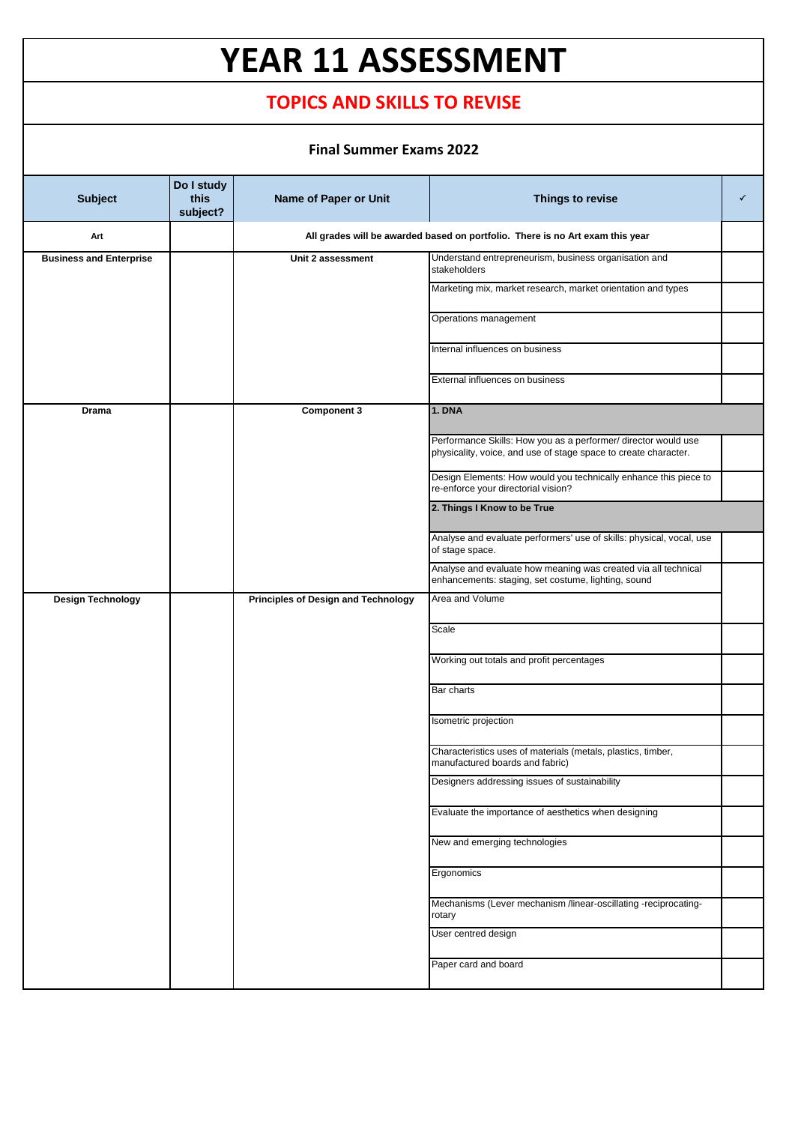## **YEAR 11 ASSESSMENT**

## **TOPICS AND SKILLS TO REVISE**

## **Final Summer Exams 2022**

| <b>Subject</b>                 | Do I study<br>this<br>subject? | Name of Paper or Unit               | Things to revise                                                                                                                  | ✓ |
|--------------------------------|--------------------------------|-------------------------------------|-----------------------------------------------------------------------------------------------------------------------------------|---|
| Art                            |                                |                                     | All grades will be awarded based on portfolio. There is no Art exam this year                                                     |   |
| <b>Business and Enterprise</b> |                                | Unit 2 assessment                   | Understand entrepreneurism, business organisation and<br>stakeholders                                                             |   |
|                                |                                |                                     | Marketing mix, market research, market orientation and types                                                                      |   |
|                                |                                |                                     | Operations management                                                                                                             |   |
|                                |                                |                                     | Internal influences on business                                                                                                   |   |
|                                |                                |                                     | External influences on business                                                                                                   |   |
| Drama                          |                                | <b>Component 3</b>                  | <b>1. DNA</b>                                                                                                                     |   |
|                                |                                |                                     | Performance Skills: How you as a performer/ director would use<br>physicality, voice, and use of stage space to create character. |   |
|                                |                                |                                     | Design Elements: How would you technically enhance this piece to<br>re-enforce your directorial vision?                           |   |
|                                |                                |                                     | 2. Things I Know to be True                                                                                                       |   |
|                                |                                |                                     | Analyse and evaluate performers' use of skills: physical, vocal, use<br>of stage space.                                           |   |
|                                |                                |                                     | Analyse and evaluate how meaning was created via all technical<br>enhancements: staging, set costume, lighting, sound             |   |
| <b>Design Technology</b>       |                                | Principles of Design and Technology | Area and Volume                                                                                                                   |   |
|                                |                                |                                     | Scale                                                                                                                             |   |
|                                |                                |                                     | Working out totals and profit percentages                                                                                         |   |
|                                |                                |                                     | <b>Bar charts</b>                                                                                                                 |   |
|                                |                                |                                     | Isometric projection                                                                                                              |   |
|                                |                                |                                     | Characteristics uses of materials (metals, plastics, timber,<br>manufactured boards and fabric)                                   |   |
|                                |                                |                                     | Designers addressing issues of sustainability                                                                                     |   |
|                                |                                |                                     | Evaluate the importance of aesthetics when designing                                                                              |   |
|                                |                                |                                     | New and emerging technologies                                                                                                     |   |
|                                |                                |                                     | Ergonomics                                                                                                                        |   |
|                                |                                |                                     | Mechanisms (Lever mechanism /linear-oscillating -reciprocating-<br>rotary                                                         |   |
|                                |                                |                                     | User centred design                                                                                                               |   |
|                                |                                |                                     | Paper card and board                                                                                                              |   |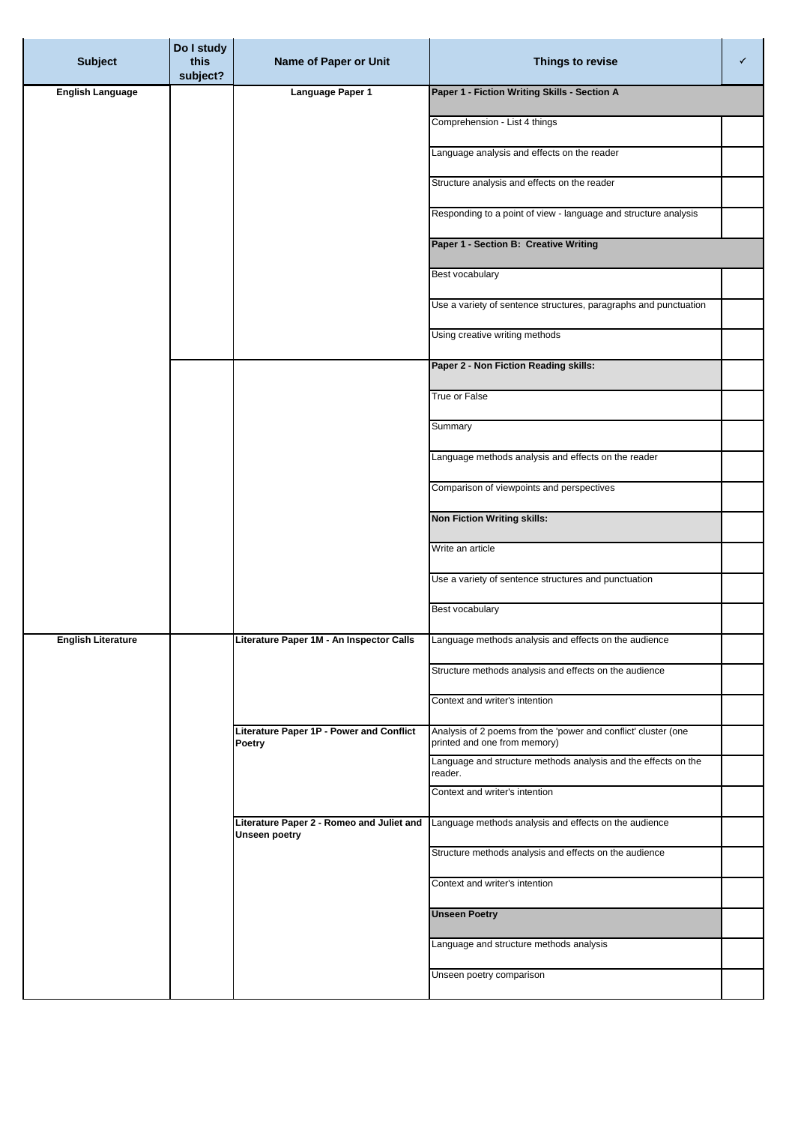| <b>Subject</b>            | Do I study<br>this<br>subject? | Name of Paper or Unit                                      | Things to revise                                                                               | ✓ |
|---------------------------|--------------------------------|------------------------------------------------------------|------------------------------------------------------------------------------------------------|---|
| <b>English Language</b>   |                                | Language Paper 1                                           | Paper 1 - Fiction Writing Skills - Section A                                                   |   |
|                           |                                |                                                            | Comprehension - List 4 things                                                                  |   |
|                           |                                |                                                            | Language analysis and effects on the reader                                                    |   |
|                           |                                |                                                            | Structure analysis and effects on the reader                                                   |   |
|                           |                                |                                                            | Responding to a point of view - language and structure analysis                                |   |
|                           |                                |                                                            | Paper 1 - Section B: Creative Writing                                                          |   |
|                           |                                |                                                            | Best vocabulary                                                                                |   |
|                           |                                |                                                            | Use a variety of sentence structures, paragraphs and punctuation                               |   |
|                           |                                |                                                            | Using creative writing methods                                                                 |   |
|                           |                                |                                                            | Paper 2 - Non Fiction Reading skills:                                                          |   |
|                           |                                |                                                            | True or False                                                                                  |   |
|                           |                                |                                                            | Summary                                                                                        |   |
|                           |                                |                                                            | Language methods analysis and effects on the reader                                            |   |
|                           |                                |                                                            | Comparison of viewpoints and perspectives                                                      |   |
|                           |                                |                                                            | <b>Non Fiction Writing skills:</b>                                                             |   |
|                           |                                |                                                            | Write an article                                                                               |   |
|                           |                                |                                                            | Use a variety of sentence structures and punctuation                                           |   |
|                           |                                |                                                            | Best vocabulary                                                                                |   |
| <b>English Literature</b> |                                | Literature Paper 1M - An Inspector Calls                   | Language methods analysis and effects on the audience                                          |   |
|                           |                                |                                                            | Structure methods analysis and effects on the audience                                         |   |
|                           |                                |                                                            | Context and writer's intention                                                                 |   |
|                           |                                | Literature Paper 1P - Power and Conflict<br>Poetry         | Analysis of 2 poems from the 'power and conflict' cluster (one<br>printed and one from memory) |   |
|                           |                                |                                                            | Language and structure methods analysis and the effects on the<br>reader.                      |   |
|                           |                                |                                                            | Context and writer's intention                                                                 |   |
|                           |                                | Literature Paper 2 - Romeo and Juliet and<br>Unseen poetry | Language methods analysis and effects on the audience                                          |   |
|                           |                                |                                                            | Structure methods analysis and effects on the audience                                         |   |
|                           |                                |                                                            | Context and writer's intention                                                                 |   |
|                           |                                |                                                            | <b>Unseen Poetry</b>                                                                           |   |
|                           |                                |                                                            | Language and structure methods analysis                                                        |   |
|                           |                                |                                                            | Unseen poetry comparison                                                                       |   |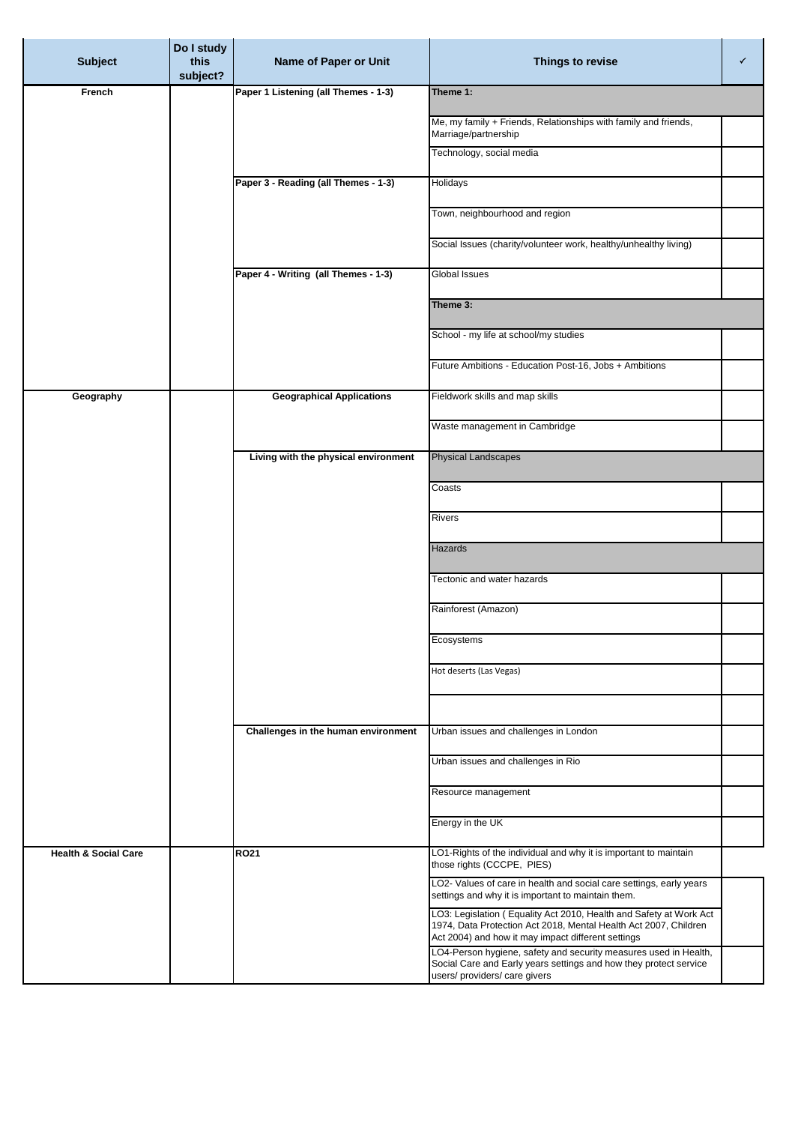|                                 | Do I study       |                                      |                                                                                                                                                                                              |   |
|---------------------------------|------------------|--------------------------------------|----------------------------------------------------------------------------------------------------------------------------------------------------------------------------------------------|---|
| <b>Subject</b>                  | this<br>subject? | Name of Paper or Unit                | Things to revise                                                                                                                                                                             | ✓ |
| French                          |                  | Paper 1 Listening (all Themes - 1-3) | Theme 1:                                                                                                                                                                                     |   |
|                                 |                  |                                      | Me, my family + Friends, Relationships with family and friends,<br>Marriage/partnership                                                                                                      |   |
|                                 |                  |                                      | Technology, social media                                                                                                                                                                     |   |
|                                 |                  | Paper 3 - Reading (all Themes - 1-3) | Holidays                                                                                                                                                                                     |   |
|                                 |                  |                                      | Town, neighbourhood and region                                                                                                                                                               |   |
|                                 |                  |                                      | Social Issues (charity/volunteer work, healthy/unhealthy living)                                                                                                                             |   |
|                                 |                  | Paper 4 - Writing (all Themes - 1-3) | Global Issues                                                                                                                                                                                |   |
|                                 |                  |                                      | Theme 3:                                                                                                                                                                                     |   |
|                                 |                  |                                      | School - my life at school/my studies                                                                                                                                                        |   |
|                                 |                  |                                      |                                                                                                                                                                                              |   |
|                                 |                  |                                      | Future Ambitions - Education Post-16, Jobs + Ambitions                                                                                                                                       |   |
| Geography                       |                  | <b>Geographical Applications</b>     | Fieldwork skills and map skills                                                                                                                                                              |   |
|                                 |                  |                                      | Waste management in Cambridge                                                                                                                                                                |   |
|                                 |                  | Living with the physical environment | <b>Physical Landscapes</b>                                                                                                                                                                   |   |
|                                 |                  |                                      | Coasts                                                                                                                                                                                       |   |
|                                 |                  |                                      | <b>Rivers</b>                                                                                                                                                                                |   |
|                                 |                  |                                      | Hazards                                                                                                                                                                                      |   |
|                                 |                  |                                      | Tectonic and water hazards                                                                                                                                                                   |   |
|                                 |                  |                                      | Rainforest (Amazon)                                                                                                                                                                          |   |
|                                 |                  |                                      | Ecosystems                                                                                                                                                                                   |   |
|                                 |                  |                                      | Hot deserts (Las Vegas)                                                                                                                                                                      |   |
|                                 |                  |                                      |                                                                                                                                                                                              |   |
|                                 |                  | Challenges in the human environment  | Urban issues and challenges in London                                                                                                                                                        |   |
|                                 |                  |                                      |                                                                                                                                                                                              |   |
|                                 |                  |                                      | Urban issues and challenges in Rio                                                                                                                                                           |   |
|                                 |                  |                                      | Resource management                                                                                                                                                                          |   |
|                                 |                  |                                      | Energy in the UK                                                                                                                                                                             |   |
| <b>Health &amp; Social Care</b> |                  | <b>RO21</b>                          | LO1-Rights of the individual and why it is important to maintain<br>those rights (CCCPE, PIES)                                                                                               |   |
|                                 |                  |                                      | LO2- Values of care in health and social care settings, early years<br>settings and why it is important to maintain them.                                                                    |   |
|                                 |                  |                                      | LO3: Legislation (Equality Act 2010, Health and Safety at Work Act<br>1974, Data Protection Act 2018, Mental Health Act 2007, Children<br>Act 2004) and how it may impact different settings |   |
|                                 |                  |                                      | LO4-Person hygiene, safety and security measures used in Health,<br>Social Care and Early years settings and how they protect service<br>users/ providers/ care givers                       |   |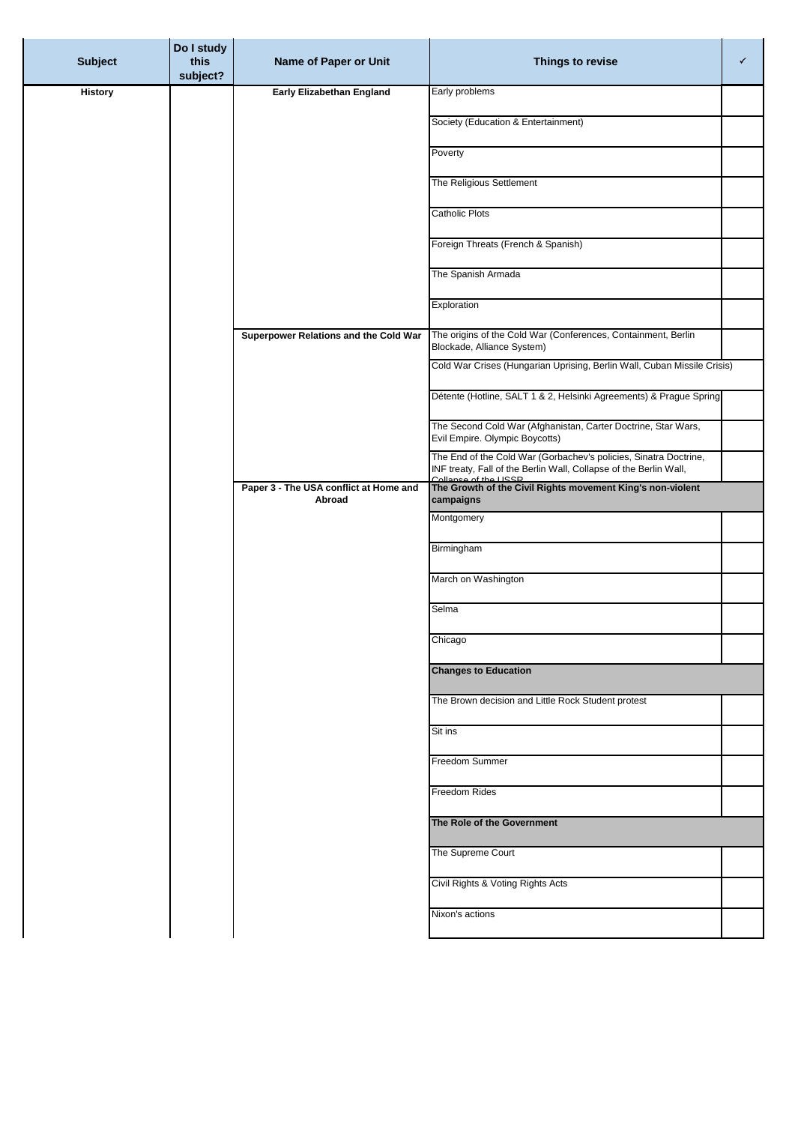| <b>Subject</b> | Do I study<br>this<br>subject? | Name of Paper or Unit                            | Things to revise                                                                                                                                               | ✓ |
|----------------|--------------------------------|--------------------------------------------------|----------------------------------------------------------------------------------------------------------------------------------------------------------------|---|
| <b>History</b> |                                | Early Elizabethan England                        | Early problems                                                                                                                                                 |   |
|                |                                |                                                  | Society (Education & Entertainment)                                                                                                                            |   |
|                |                                |                                                  | Poverty                                                                                                                                                        |   |
|                |                                |                                                  | The Religious Settlement                                                                                                                                       |   |
|                |                                |                                                  | <b>Catholic Plots</b>                                                                                                                                          |   |
|                |                                |                                                  | Foreign Threats (French & Spanish)                                                                                                                             |   |
|                |                                |                                                  | The Spanish Armada                                                                                                                                             |   |
|                |                                |                                                  | Exploration                                                                                                                                                    |   |
|                |                                | Superpower Relations and the Cold War            | The origins of the Cold War (Conferences, Containment, Berlin<br>Blockade, Alliance System)                                                                    |   |
|                |                                |                                                  | Cold War Crises (Hungarian Uprising, Berlin Wall, Cuban Missile Crisis)                                                                                        |   |
|                |                                |                                                  | Détente (Hotline, SALT 1 & 2, Helsinki Agreements) & Prague Spring                                                                                             |   |
|                |                                |                                                  | The Second Cold War (Afghanistan, Carter Doctrine, Star Wars,<br>Evil Empire. Olympic Boycotts)                                                                |   |
|                |                                |                                                  | The End of the Cold War (Gorbachev's policies, Sinatra Doctrine,<br>INF treaty, Fall of the Berlin Wall, Collapse of the Berlin Wall,<br>Collonso of the LISSD |   |
|                |                                | Paper 3 - The USA conflict at Home and<br>Abroad | The Growth of the Civil Rights movement King's non-violent<br>campaigns                                                                                        |   |
|                |                                |                                                  | Montgomery                                                                                                                                                     |   |
|                |                                |                                                  | Birmingham                                                                                                                                                     |   |
|                |                                |                                                  | March on Washington                                                                                                                                            |   |
|                |                                |                                                  | Selma                                                                                                                                                          |   |
|                |                                |                                                  | Chicago                                                                                                                                                        |   |
|                |                                |                                                  | <b>Changes to Education</b>                                                                                                                                    |   |
|                |                                |                                                  | The Brown decision and Little Rock Student protest                                                                                                             |   |
|                |                                |                                                  | Sit ins                                                                                                                                                        |   |
|                |                                |                                                  | Freedom Summer                                                                                                                                                 |   |
|                |                                |                                                  | Freedom Rides                                                                                                                                                  |   |
|                |                                |                                                  | The Role of the Government                                                                                                                                     |   |
|                |                                |                                                  | The Supreme Court                                                                                                                                              |   |
|                |                                |                                                  | Civil Rights & Voting Rights Acts                                                                                                                              |   |
|                |                                |                                                  | Nixon's actions                                                                                                                                                |   |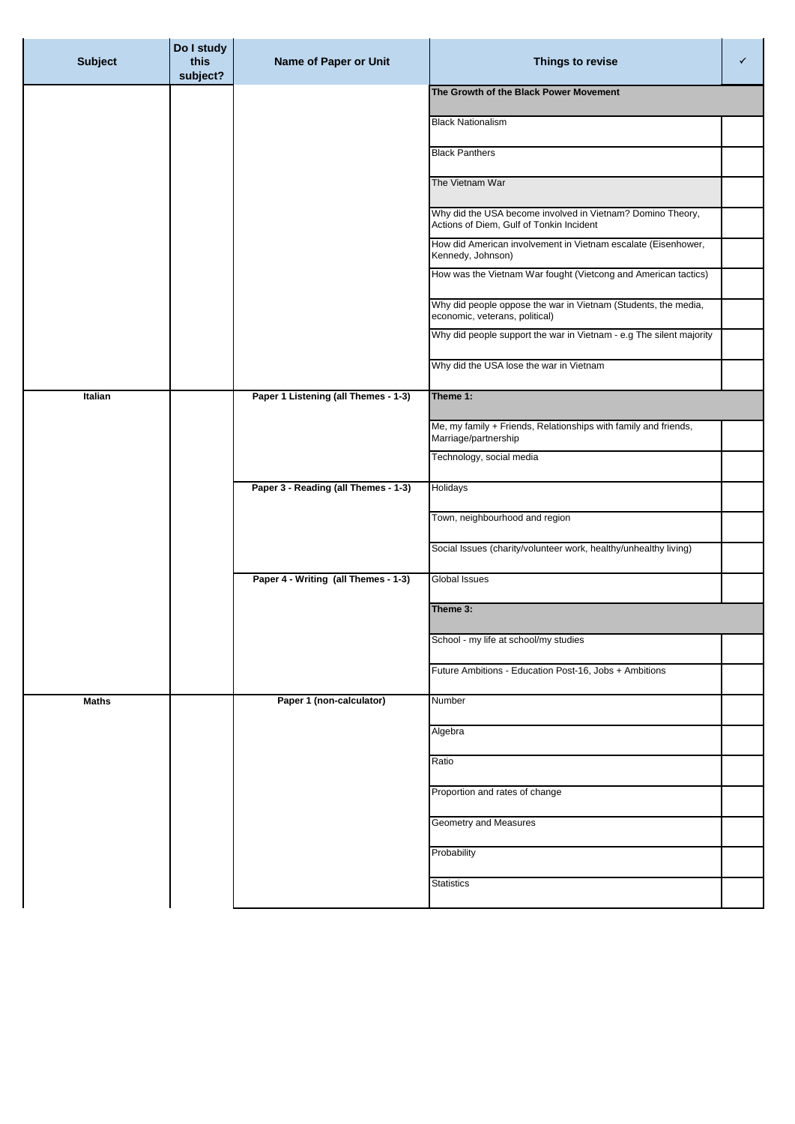| <b>Subject</b> | Do I study<br>this<br>subject? | Name of Paper or Unit                | Things to revise                                                                                       | ✓ |
|----------------|--------------------------------|--------------------------------------|--------------------------------------------------------------------------------------------------------|---|
|                |                                |                                      | The Growth of the Black Power Movement                                                                 |   |
|                |                                |                                      | <b>Black Nationalism</b>                                                                               |   |
|                |                                |                                      | <b>Black Panthers</b>                                                                                  |   |
|                |                                |                                      | The Vietnam War                                                                                        |   |
|                |                                |                                      | Why did the USA become involved in Vietnam? Domino Theory,<br>Actions of Diem, Gulf of Tonkin Incident |   |
|                |                                |                                      | How did American involvement in Vietnam escalate (Eisenhower,<br>Kennedy, Johnson)                     |   |
|                |                                |                                      | How was the Vietnam War fought (Vietcong and American tactics)                                         |   |
|                |                                |                                      | Why did people oppose the war in Vietnam (Students, the media,<br>economic, veterans, political)       |   |
|                |                                |                                      | Why did people support the war in Vietnam - e.g The silent majority                                    |   |
|                |                                |                                      | Why did the USA lose the war in Vietnam                                                                |   |
| Italian        |                                | Paper 1 Listening (all Themes - 1-3) | Theme 1:                                                                                               |   |
|                |                                |                                      | Me, my family + Friends, Relationships with family and friends,<br>Marriage/partnership                |   |
|                |                                |                                      | Technology, social media                                                                               |   |
|                |                                | Paper 3 - Reading (all Themes - 1-3) | Holidays                                                                                               |   |
|                |                                |                                      | Town, neighbourhood and region                                                                         |   |
|                |                                |                                      | Social Issues (charity/volunteer work, healthy/unhealthy living)                                       |   |
|                |                                | Paper 4 - Writing (all Themes - 1-3) | Global Issues                                                                                          |   |
|                |                                |                                      | Theme 3:                                                                                               |   |
|                |                                |                                      | School - my life at school/my studies                                                                  |   |
|                |                                |                                      | Future Ambitions - Education Post-16, Jobs + Ambitions                                                 |   |
| <b>Maths</b>   |                                | Paper 1 (non-calculator)             | Number                                                                                                 |   |
|                |                                |                                      | Algebra                                                                                                |   |
|                |                                |                                      | Ratio                                                                                                  |   |
|                |                                |                                      | Proportion and rates of change                                                                         |   |
|                |                                |                                      | Geometry and Measures                                                                                  |   |
|                |                                |                                      | Probability                                                                                            |   |
|                |                                |                                      | <b>Statistics</b>                                                                                      |   |
|                |                                |                                      |                                                                                                        |   |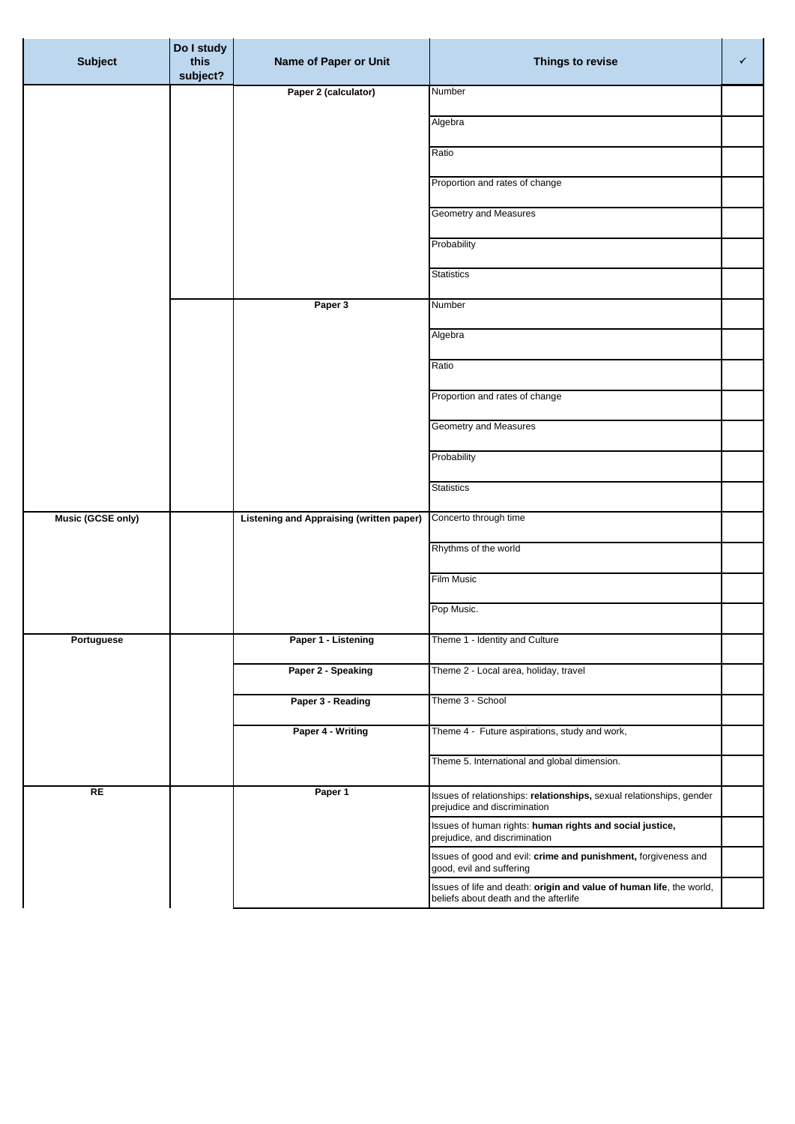| <b>Subject</b>    | Do I study<br>this<br>subject? | Name of Paper or Unit                           | Things to revise                                                                                     | ✓ |
|-------------------|--------------------------------|-------------------------------------------------|------------------------------------------------------------------------------------------------------|---|
|                   |                                | Paper 2 (calculator)                            | Number                                                                                               |   |
|                   |                                |                                                 | Algebra                                                                                              |   |
|                   |                                |                                                 | Ratio                                                                                                |   |
|                   |                                |                                                 | Proportion and rates of change                                                                       |   |
|                   |                                |                                                 | <b>Geometry and Measures</b>                                                                         |   |
|                   |                                |                                                 | Probability                                                                                          |   |
|                   |                                |                                                 | <b>Statistics</b>                                                                                    |   |
|                   |                                | Paper 3                                         | Number                                                                                               |   |
|                   |                                |                                                 | Algebra                                                                                              |   |
|                   |                                |                                                 | Ratio                                                                                                |   |
|                   |                                |                                                 | Proportion and rates of change                                                                       |   |
|                   |                                |                                                 | Geometry and Measures                                                                                |   |
|                   |                                |                                                 |                                                                                                      |   |
|                   |                                |                                                 | Probability                                                                                          |   |
|                   |                                |                                                 | <b>Statistics</b>                                                                                    |   |
| Music (GCSE only) |                                | <b>Listening and Appraising (written paper)</b> | Concerto through time                                                                                |   |
|                   |                                |                                                 | Rhythms of the world                                                                                 |   |
|                   |                                |                                                 | Film Music                                                                                           |   |
|                   |                                |                                                 | Pop Music.                                                                                           |   |
| Portuguese        |                                | Paper 1 - Listening                             | Theme 1 - Identity and Culture                                                                       |   |
|                   |                                | Paper 2 - Speaking                              | Theme 2 - Local area, holiday, travel                                                                |   |
|                   |                                | Paper 3 - Reading                               | Theme 3 - School                                                                                     |   |
|                   |                                | Paper 4 - Writing                               | Theme 4 - Future aspirations, study and work,                                                        |   |
|                   |                                |                                                 | Theme 5. International and global dimension.                                                         |   |
| RE                |                                | Paper 1                                         | Issues of relationships: relationships, sexual relationships, gender<br>prejudice and discrimination |   |
|                   |                                |                                                 | Issues of human rights: human rights and social justice,                                             |   |
|                   |                                |                                                 | prejudice, and discrimination<br>Issues of good and evil: crime and punishment, forgiveness and      |   |
|                   |                                |                                                 | good, evil and suffering<br>Issues of life and death: origin and value of human life, the world,     |   |
|                   |                                |                                                 | beliefs about death and the afterlife                                                                |   |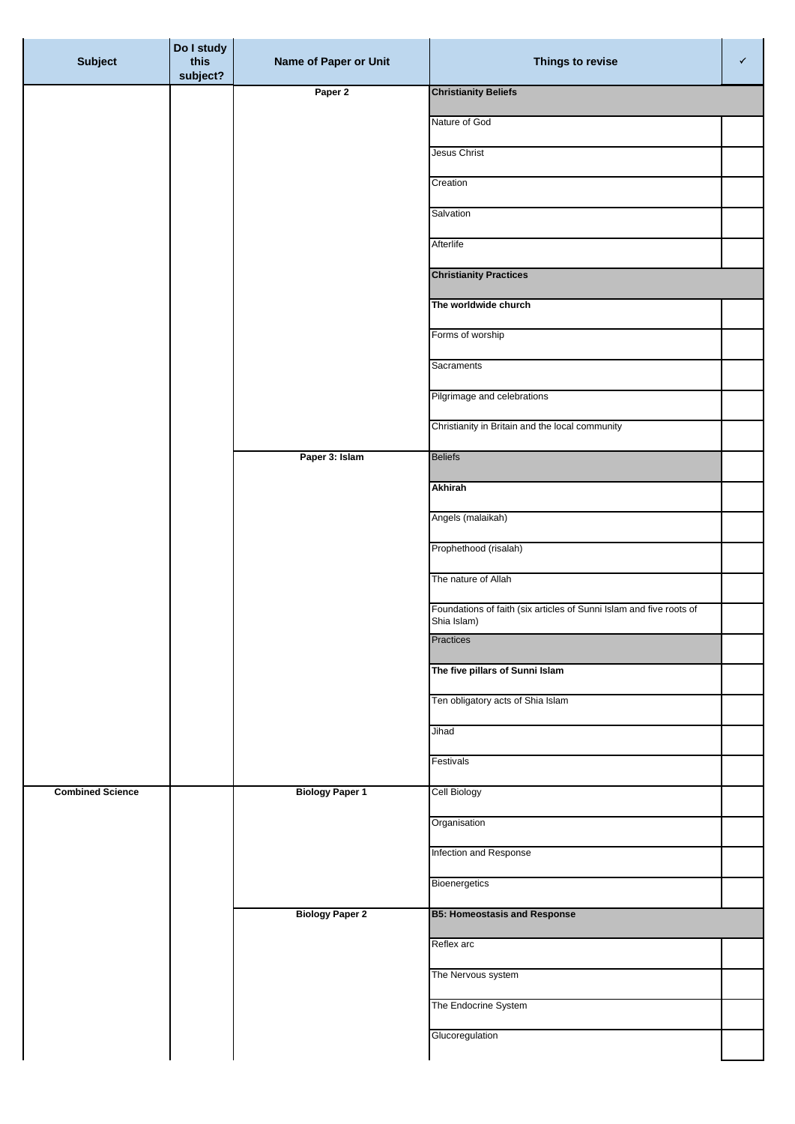| <b>Subject</b>          | Do I study<br>this<br>subject? | Name of Paper or Unit  | Things to revise                                                                   | $\checkmark$ |
|-------------------------|--------------------------------|------------------------|------------------------------------------------------------------------------------|--------------|
|                         |                                | Paper 2                | <b>Christianity Beliefs</b>                                                        |              |
|                         |                                |                        | Nature of God                                                                      |              |
|                         |                                |                        | Jesus Christ                                                                       |              |
|                         |                                |                        | Creation                                                                           |              |
|                         |                                |                        | Salvation                                                                          |              |
|                         |                                |                        | Afterlife                                                                          |              |
|                         |                                |                        | <b>Christianity Practices</b>                                                      |              |
|                         |                                |                        | The worldwide church                                                               |              |
|                         |                                |                        | Forms of worship                                                                   |              |
|                         |                                |                        | Sacraments                                                                         |              |
|                         |                                |                        | Pilgrimage and celebrations                                                        |              |
|                         |                                |                        | Christianity in Britain and the local community                                    |              |
|                         |                                | Paper 3: Islam         | <b>Beliefs</b>                                                                     |              |
|                         |                                |                        | <b>Akhirah</b>                                                                     |              |
|                         |                                |                        | Angels (malaikah)                                                                  |              |
|                         |                                |                        | Prophethood (risalah)                                                              |              |
|                         |                                |                        | The nature of Allah                                                                |              |
|                         |                                |                        | Foundations of faith (six articles of Sunni Islam and five roots of<br>Shia Islam) |              |
|                         |                                |                        | Practices                                                                          |              |
|                         |                                |                        | The five pillars of Sunni Islam                                                    |              |
|                         |                                |                        | Ten obligatory acts of Shia Islam                                                  |              |
|                         |                                |                        | Jihad                                                                              |              |
|                         |                                |                        | Festivals                                                                          |              |
| <b>Combined Science</b> |                                | <b>Biology Paper 1</b> | <b>Cell Biology</b>                                                                |              |
|                         |                                |                        | Organisation                                                                       |              |
|                         |                                |                        | Infection and Response                                                             |              |
|                         |                                |                        | Bioenergetics                                                                      |              |
|                         |                                | <b>Biology Paper 2</b> | <b>B5: Homeostasis and Response</b>                                                |              |
|                         |                                |                        | Reflex arc                                                                         |              |
|                         |                                |                        | The Nervous system                                                                 |              |
|                         |                                |                        | The Endocrine System                                                               |              |
|                         |                                |                        | Glucoregulation                                                                    |              |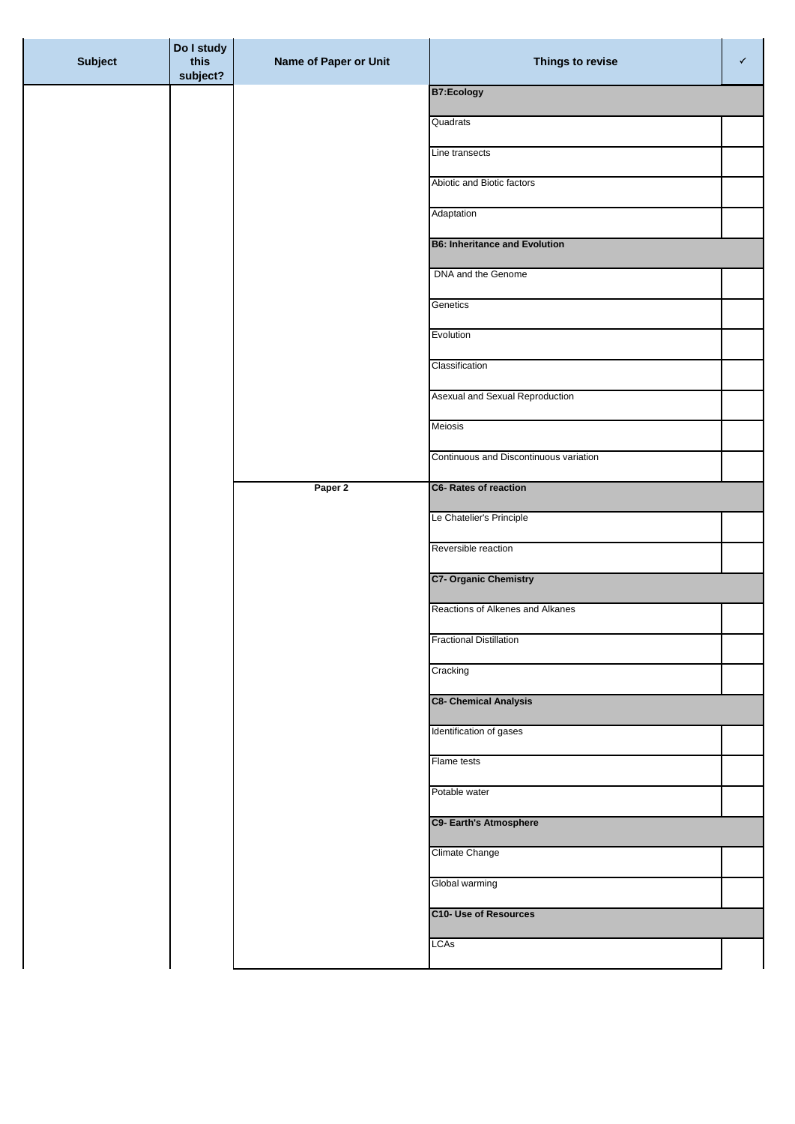| <b>Subject</b> | Do I study<br>this<br>subject? | Name of Paper or Unit | Things to revise                       | $\checkmark$ |
|----------------|--------------------------------|-----------------------|----------------------------------------|--------------|
|                |                                |                       | <b>B7:Ecology</b>                      |              |
|                |                                |                       | Quadrats                               |              |
|                |                                |                       | Line transects                         |              |
|                |                                |                       |                                        |              |
|                |                                |                       | Abiotic and Biotic factors             |              |
|                |                                |                       | Adaptation                             |              |
|                |                                |                       | <b>B6: Inheritance and Evolution</b>   |              |
|                |                                |                       | DNA and the Genome                     |              |
|                |                                |                       | Genetics                               |              |
|                |                                |                       | Evolution                              |              |
|                |                                |                       | Classification                         |              |
|                |                                |                       | Asexual and Sexual Reproduction        |              |
|                |                                |                       |                                        |              |
|                |                                |                       | Meiosis                                |              |
|                |                                |                       | Continuous and Discontinuous variation |              |
|                |                                | Paper 2               | C6- Rates of reaction                  |              |
|                |                                |                       | Le Chatelier's Principle               |              |
|                |                                |                       | Reversible reaction                    |              |
|                |                                |                       | <b>C7- Organic Chemistry</b>           |              |
|                |                                |                       | Reactions of Alkenes and Alkanes       |              |
|                |                                |                       | <b>Fractional Distillation</b>         |              |
|                |                                |                       | Cracking                               |              |
|                |                                |                       |                                        |              |
|                |                                |                       | <b>C8- Chemical Analysis</b>           |              |
|                |                                |                       | Identification of gases                |              |
|                |                                |                       | Flame tests                            |              |
|                |                                |                       | Potable water                          |              |
|                |                                |                       | C9- Earth's Atmosphere                 |              |
|                |                                |                       | Climate Change                         |              |
|                |                                |                       | Global warming                         |              |
|                |                                |                       | <b>C10- Use of Resources</b>           |              |
|                |                                |                       | LCAs                                   |              |
|                |                                |                       |                                        |              |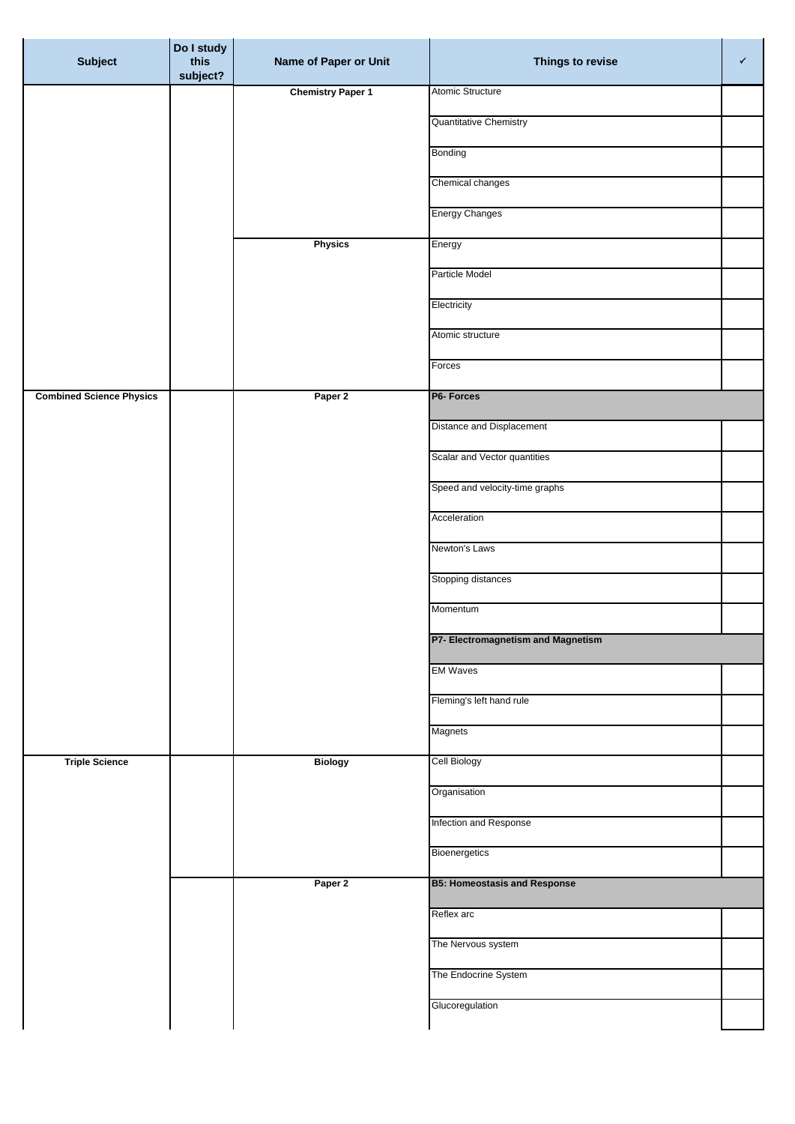| <b>Subject</b>                  | Do I study<br>this<br>subject? | Name of Paper or Unit    | Things to revise                    | ✓ |
|---------------------------------|--------------------------------|--------------------------|-------------------------------------|---|
|                                 |                                | <b>Chemistry Paper 1</b> | Atomic Structure                    |   |
|                                 |                                |                          | Quantitative Chemistry              |   |
|                                 |                                |                          | Bonding                             |   |
|                                 |                                |                          | Chemical changes                    |   |
|                                 |                                |                          | <b>Energy Changes</b>               |   |
|                                 |                                | <b>Physics</b>           | Energy                              |   |
|                                 |                                |                          | Particle Model                      |   |
|                                 |                                |                          | Electricity                         |   |
|                                 |                                |                          | Atomic structure                    |   |
|                                 |                                |                          | Forces                              |   |
| <b>Combined Science Physics</b> |                                | Paper 2                  | P6- Forces                          |   |
|                                 |                                |                          | Distance and Displacement           |   |
|                                 |                                |                          | Scalar and Vector quantities        |   |
|                                 |                                |                          | Speed and velocity-time graphs      |   |
|                                 |                                |                          | Acceleration                        |   |
|                                 |                                |                          | Newton's Laws                       |   |
|                                 |                                |                          | Stopping distances                  |   |
|                                 |                                |                          | Momentum                            |   |
|                                 |                                |                          | P7- Electromagnetism and Magnetism  |   |
|                                 |                                |                          | <b>EM Waves</b>                     |   |
|                                 |                                |                          | Fleming's left hand rule            |   |
|                                 |                                |                          | Magnets                             |   |
| <b>Triple Science</b>           |                                | <b>Biology</b>           | Cell Biology                        |   |
|                                 |                                |                          | Organisation                        |   |
|                                 |                                |                          | Infection and Response              |   |
|                                 |                                |                          | Bioenergetics                       |   |
|                                 |                                | Paper 2                  | <b>B5: Homeostasis and Response</b> |   |
|                                 |                                |                          | Reflex arc                          |   |
|                                 |                                |                          | The Nervous system                  |   |
|                                 |                                |                          | The Endocrine System                |   |
|                                 |                                |                          | Glucoregulation                     |   |
|                                 |                                |                          |                                     |   |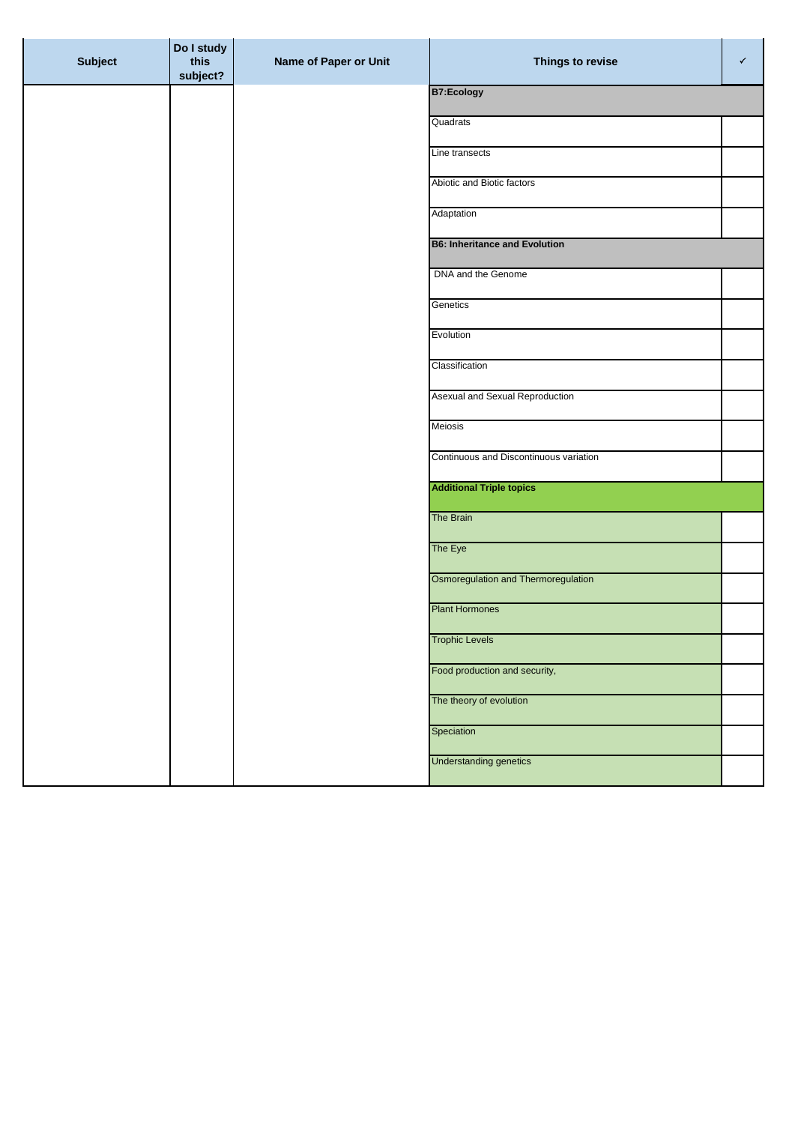| <b>Subject</b> | Do I study<br>this<br>subject? | Name of Paper or Unit | Things to revise                       | ✓ |
|----------------|--------------------------------|-----------------------|----------------------------------------|---|
|                |                                |                       | <b>B7:Ecology</b>                      |   |
|                |                                |                       | Quadrats                               |   |
|                |                                |                       | Line transects                         |   |
|                |                                |                       | Abiotic and Biotic factors             |   |
|                |                                |                       | Adaptation                             |   |
|                |                                |                       | <b>B6: Inheritance and Evolution</b>   |   |
|                |                                |                       | DNA and the Genome                     |   |
|                |                                |                       | Genetics                               |   |
|                |                                |                       | Evolution                              |   |
|                |                                |                       | Classification                         |   |
|                |                                |                       | Asexual and Sexual Reproduction        |   |
|                |                                |                       | <b>Meiosis</b>                         |   |
|                |                                |                       | Continuous and Discontinuous variation |   |
|                |                                |                       | <b>Additional Triple topics</b>        |   |
|                |                                |                       | <b>The Brain</b>                       |   |
|                |                                |                       |                                        |   |
|                |                                |                       | The Eye                                |   |
|                |                                |                       | Osmoregulation and Thermoregulation    |   |
|                |                                |                       | <b>Plant Hormones</b>                  |   |
|                |                                |                       | <b>Trophic Levels</b>                  |   |
|                |                                |                       | Food production and security,          |   |
|                |                                |                       | The theory of evolution                |   |
|                |                                |                       | Speciation                             |   |
|                |                                |                       | <b>Understanding genetics</b>          |   |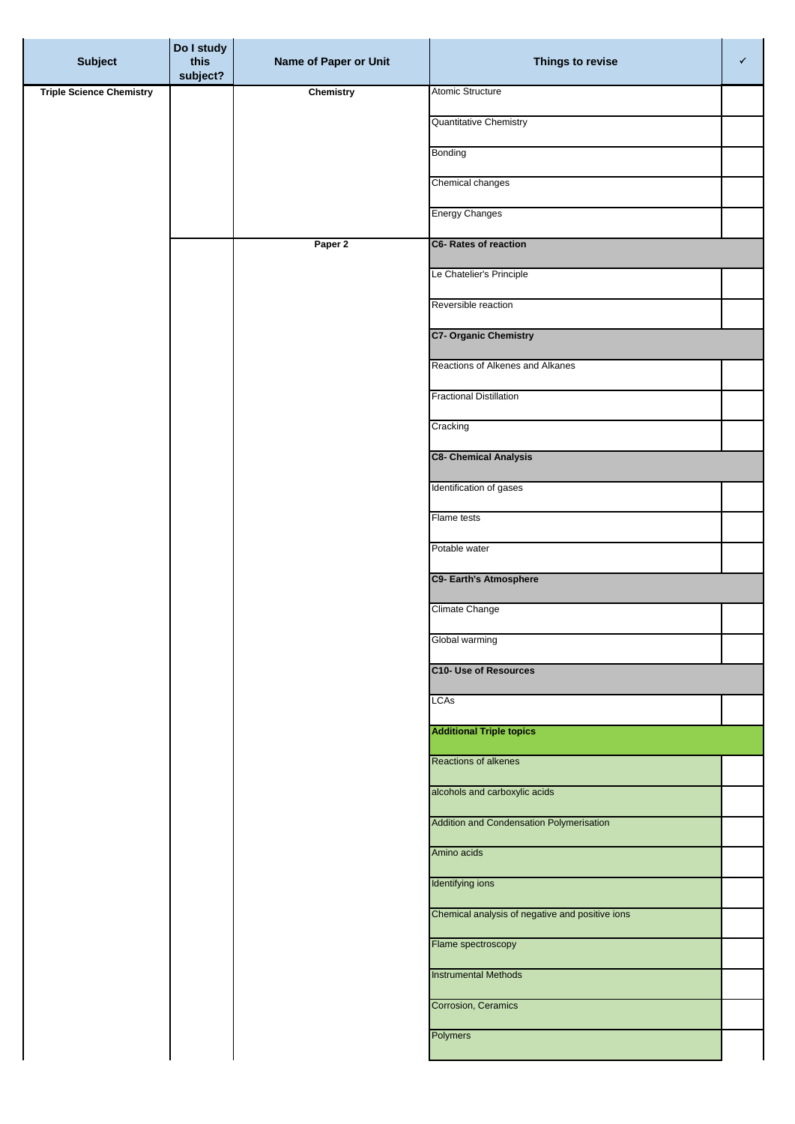| <b>Subject</b>                  | Do I study<br>this<br>subject? | Name of Paper or Unit | Things to revise                                | $\checkmark$ |
|---------------------------------|--------------------------------|-----------------------|-------------------------------------------------|--------------|
| <b>Triple Science Chemistry</b> |                                | <b>Chemistry</b>      | Atomic Structure                                |              |
|                                 |                                |                       | Quantitative Chemistry                          |              |
|                                 |                                |                       | Bonding                                         |              |
|                                 |                                |                       | Chemical changes                                |              |
|                                 |                                |                       | <b>Energy Changes</b>                           |              |
|                                 |                                | Paper 2               | <b>C6- Rates of reaction</b>                    |              |
|                                 |                                |                       | Le Chatelier's Principle                        |              |
|                                 |                                |                       | Reversible reaction                             |              |
|                                 |                                |                       | <b>C7- Organic Chemistry</b>                    |              |
|                                 |                                |                       | Reactions of Alkenes and Alkanes                |              |
|                                 |                                |                       | <b>Fractional Distillation</b>                  |              |
|                                 |                                |                       | Cracking                                        |              |
|                                 |                                |                       | <b>C8- Chemical Analysis</b>                    |              |
|                                 |                                |                       | Identification of gases                         |              |
|                                 |                                |                       | Flame tests                                     |              |
|                                 |                                |                       | Potable water                                   |              |
|                                 |                                |                       | <b>C9- Earth's Atmosphere</b>                   |              |
|                                 |                                |                       | Climate Change                                  |              |
|                                 |                                |                       | Global warming                                  |              |
|                                 |                                |                       | <b>C10- Use of Resources</b>                    |              |
|                                 |                                |                       | <b>LCAs</b>                                     |              |
|                                 |                                |                       | <b>Additional Triple topics</b>                 |              |
|                                 |                                |                       | Reactions of alkenes                            |              |
|                                 |                                |                       | alcohols and carboxylic acids                   |              |
|                                 |                                |                       | Addition and Condensation Polymerisation        |              |
|                                 |                                |                       | Amino acids                                     |              |
|                                 |                                |                       | Identifying ions                                |              |
|                                 |                                |                       | Chemical analysis of negative and positive ions |              |
|                                 |                                |                       | Flame spectroscopy                              |              |
|                                 |                                |                       | <b>Instrumental Methods</b>                     |              |
|                                 |                                |                       | Corrosion, Ceramics                             |              |
|                                 |                                |                       | Polymers                                        |              |
|                                 |                                |                       |                                                 |              |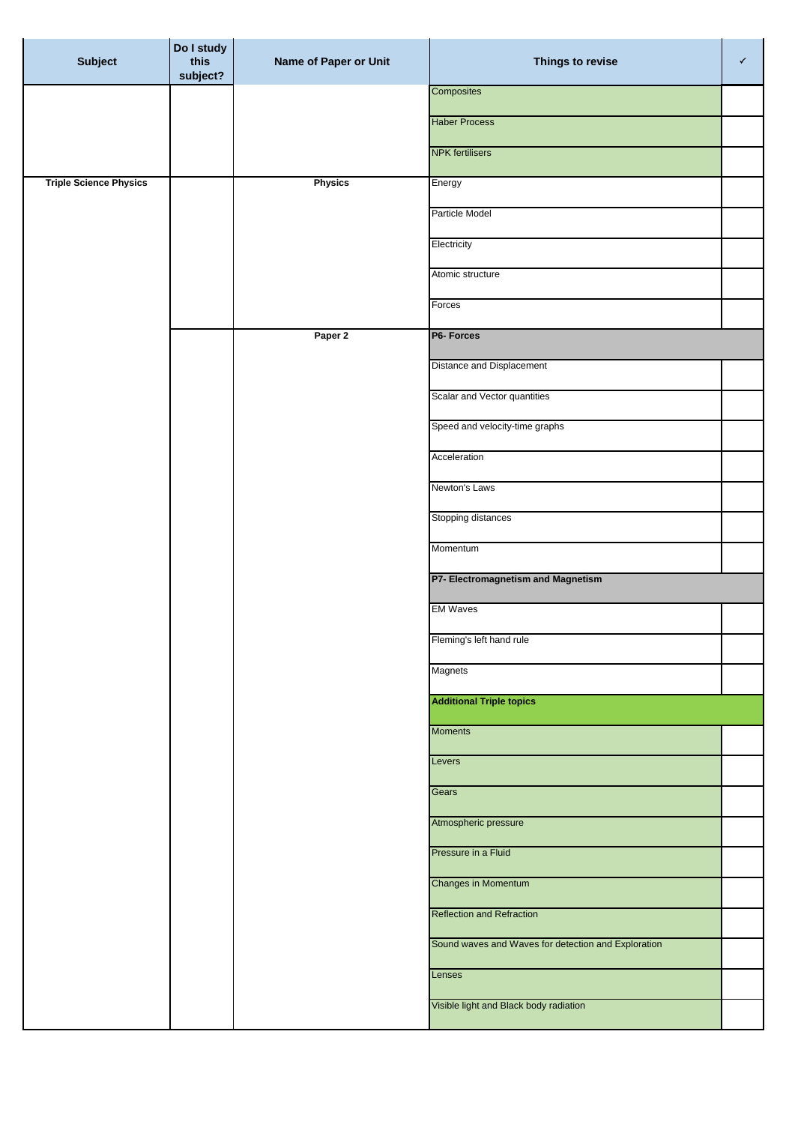| <b>Subject</b>                | Do I study<br>this<br>subject? | Name of Paper or Unit | Things to revise                                    | $\checkmark$ |
|-------------------------------|--------------------------------|-----------------------|-----------------------------------------------------|--------------|
|                               |                                |                       | Composites                                          |              |
|                               |                                |                       | <b>Haber Process</b>                                |              |
|                               |                                |                       | <b>NPK</b> fertilisers                              |              |
| <b>Triple Science Physics</b> |                                | <b>Physics</b>        | Energy                                              |              |
|                               |                                |                       | Particle Model                                      |              |
|                               |                                |                       | Electricity                                         |              |
|                               |                                |                       | Atomic structure                                    |              |
|                               |                                |                       | Forces                                              |              |
|                               |                                | Paper 2               | P6- Forces                                          |              |
|                               |                                |                       | Distance and Displacement                           |              |
|                               |                                |                       | Scalar and Vector quantities                        |              |
|                               |                                |                       | Speed and velocity-time graphs                      |              |
|                               |                                |                       | Acceleration                                        |              |
|                               |                                |                       | Newton's Laws                                       |              |
|                               |                                |                       | Stopping distances                                  |              |
|                               |                                |                       | Momentum                                            |              |
|                               |                                |                       | P7- Electromagnetism and Magnetism                  |              |
|                               |                                |                       | <b>EM Waves</b>                                     |              |
|                               |                                |                       | Fleming's left hand rule                            |              |
|                               |                                |                       | Magnets                                             |              |
|                               |                                |                       | <b>Additional Triple topics</b>                     |              |
|                               |                                |                       | <b>Moments</b>                                      |              |
|                               |                                |                       | Levers                                              |              |
|                               |                                |                       | Gears                                               |              |
|                               |                                |                       | Atmospheric pressure                                |              |
|                               |                                |                       | Pressure in a Fluid                                 |              |
|                               |                                |                       | <b>Changes in Momentum</b>                          |              |
|                               |                                |                       | <b>Reflection and Refraction</b>                    |              |
|                               |                                |                       | Sound waves and Waves for detection and Exploration |              |
|                               |                                |                       |                                                     |              |
|                               |                                |                       | Lenses                                              |              |
|                               |                                |                       | Visible light and Black body radiation              |              |